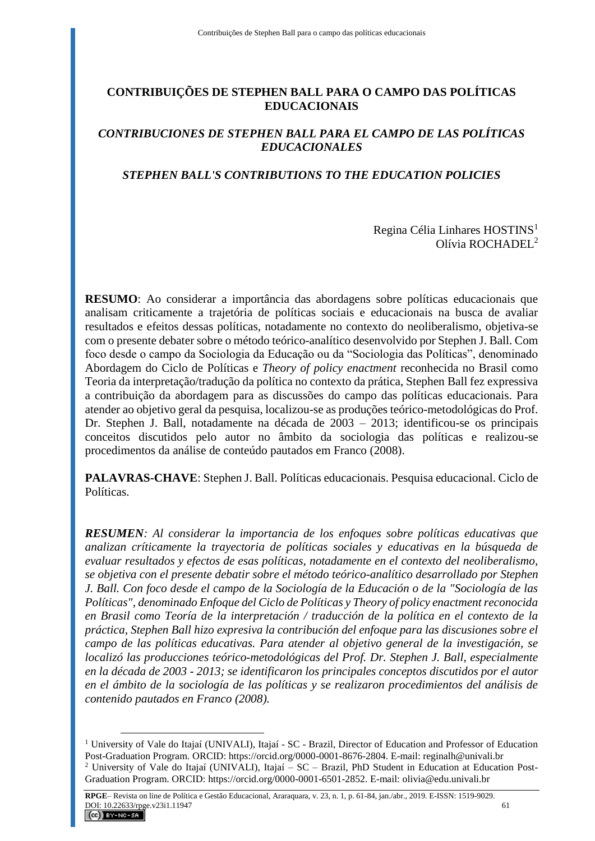# **CONTRIBUIÇÕES DE STEPHEN BALL PARA O CAMPO DAS POLÍTICAS EDUCACIONAIS**

# *CONTRIBUCIONES DE STEPHEN BALL PARA EL CAMPO DE LAS POLÍTICAS EDUCACIONALES*

# *STEPHEN BALL'S CONTRIBUTIONS TO THE EDUCATION POLICIES*

### Regina Célia Linhares HOSTINS<sup>1</sup> Olívia ROCHADEL<sup>2</sup>

**RESUMO**: Ao considerar a importância das abordagens sobre políticas educacionais que analisam criticamente a trajetória de políticas sociais e educacionais na busca de avaliar resultados e efeitos dessas políticas, notadamente no contexto do neoliberalismo, objetiva-se com o presente debater sobre o método teórico-analítico desenvolvido por Stephen J. Ball. Com foco desde o campo da Sociologia da Educação ou da "Sociologia das Políticas", denominado Abordagem do Ciclo de Políticas e *Theory of policy enactment* reconhecida no Brasil como Teoria da interpretação/tradução da política no contexto da prática, Stephen Ball fez expressiva a contribuição da abordagem para as discussões do campo das políticas educacionais. Para atender ao objetivo geral da pesquisa, localizou-se as produções teórico-metodológicas do Prof. Dr. Stephen J. Ball, notadamente na década de 2003 – 2013; identificou-se os principais conceitos discutidos pelo autor no âmbito da sociologia das políticas e realizou-se procedimentos da análise de conteúdo pautados em Franco (2008).

**PALAVRAS-CHAVE**: Stephen J. Ball. Políticas educacionais. Pesquisa educacional. Ciclo de Políticas.

*RESUMEN: Al considerar la importancia de los enfoques sobre políticas educativas que analizan críticamente la trayectoria de políticas sociales y educativas en la búsqueda de evaluar resultados y efectos de esas políticas, notadamente en el contexto del neoliberalismo, se objetiva con el presente debatir sobre el método teórico-analítico desarrollado por Stephen J. Ball. Con foco desde el campo de la Sociología de la Educación o de la "Sociología de las Políticas", denominado Enfoque del Ciclo de Políticas y Theory of policy enactment reconocida en Brasil como Teoría de la interpretación / traducción de la política en el contexto de la práctica, Stephen Ball hizo expresiva la contribución del enfoque para las discusiones sobre el campo de las políticas educativas. Para atender al objetivo general de la investigación, se localizó las producciones teórico-metodológicas del Prof. Dr. Stephen J. Ball, especialmente en la década de 2003 - 2013; se identificaron los principales conceptos discutidos por el autor en el ámbito de la sociología de las políticas y se realizaron procedimientos del análisis de contenido pautados en Franco (2008).*

 $\overline{a}$ 

<sup>&</sup>lt;sup>1</sup> University of Vale do Itajaí (UNIVALI), Itajaí - SC - Brazil, Director of Education and Professor of Education Post-Graduation Program. ORCID: https://orcid.org/0000-0001-8676-2804. E-mail: reginalh@univali.br <sup>2</sup> University of Vale do Itajaí (UNIVALI), Itajaí – SC – Brazil, PhD Student in Education at Education Post-Graduation Program. ORCID: https://orcid.org/0000-0001-6501-2852. E-mail: olivia@edu.univali.br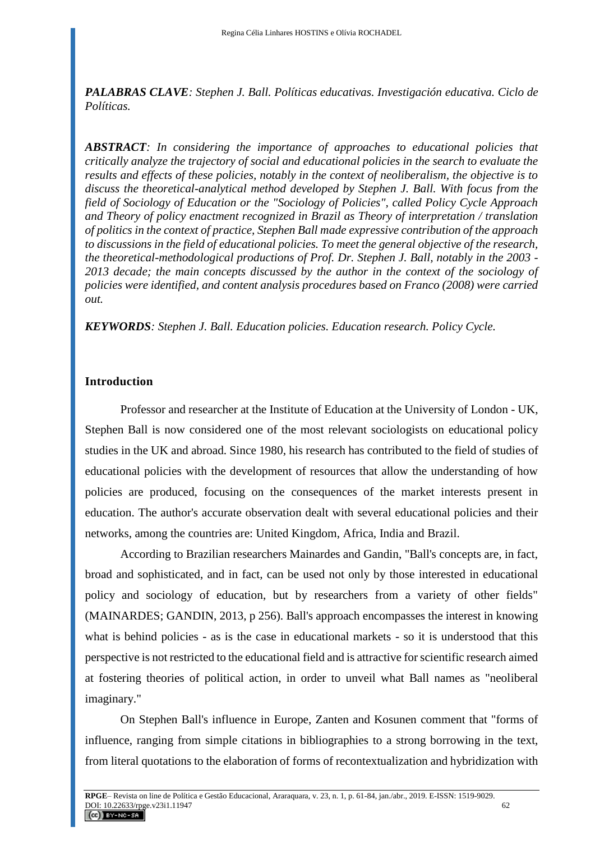*PALABRAS CLAVE: Stephen J. Ball. Políticas educativas. Investigación educativa. Ciclo de Políticas.*

*ABSTRACT: In considering the importance of approaches to educational policies that critically analyze the trajectory of social and educational policies in the search to evaluate the results and effects of these policies, notably in the context of neoliberalism, the objective is to discuss the theoretical-analytical method developed by Stephen J. Ball. With focus from the field of Sociology of Education or the "Sociology of Policies", called Policy Cycle Approach and Theory of policy enactment recognized in Brazil as Theory of interpretation / translation of politics in the context of practice, Stephen Ball made expressive contribution of the approach to discussions in the field of educational policies. To meet the general objective of the research, the theoretical-methodological productions of Prof. Dr. Stephen J. Ball, notably in the 2003 - 2013 decade; the main concepts discussed by the author in the context of the sociology of policies were identified, and content analysis procedures based on Franco (2008) were carried out.*

*KEYWORDS: Stephen J. Ball. Education policies. Education research. Policy Cycle.*

### **Introduction**

Professor and researcher at the Institute of Education at the University of London - UK, Stephen Ball is now considered one of the most relevant sociologists on educational policy studies in the UK and abroad. Since 1980, his research has contributed to the field of studies of educational policies with the development of resources that allow the understanding of how policies are produced, focusing on the consequences of the market interests present in education. The author's accurate observation dealt with several educational policies and their networks, among the countries are: United Kingdom, Africa, India and Brazil.

According to Brazilian researchers Mainardes and Gandin, "Ball's concepts are, in fact, broad and sophisticated, and in fact, can be used not only by those interested in educational policy and sociology of education, but by researchers from a variety of other fields" (MAINARDES; GANDIN, 2013, p 256). Ball's approach encompasses the interest in knowing what is behind policies - as is the case in educational markets - so it is understood that this perspective is not restricted to the educational field and is attractive for scientific research aimed at fostering theories of political action, in order to unveil what Ball names as "neoliberal imaginary."

On Stephen Ball's influence in Europe, Zanten and Kosunen comment that "forms of influence, ranging from simple citations in bibliographies to a strong borrowing in the text, from literal quotations to the elaboration of forms of recontextualization and hybridization with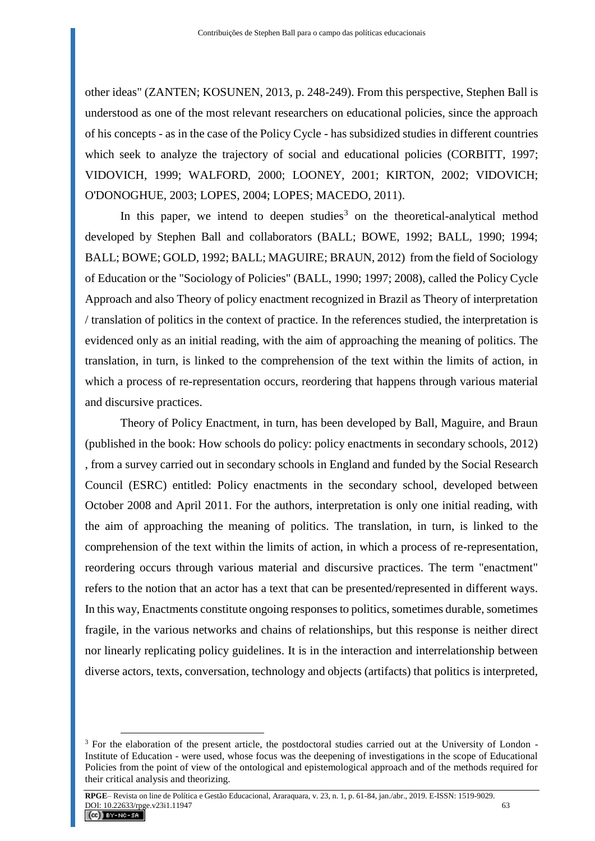other ideas" (ZANTEN; KOSUNEN, 2013, p. 248-249). From this perspective, Stephen Ball is understood as one of the most relevant researchers on educational policies, since the approach of his concepts - as in the case of the Policy Cycle - has subsidized studies in different countries which seek to analyze the trajectory of social and educational policies (CORBITT, 1997; VIDOVICH, 1999; WALFORD, 2000; LOONEY, 2001; KIRTON, 2002; VIDOVICH; O'DONOGHUE, 2003; LOPES, 2004; LOPES; MACEDO, 2011).

In this paper, we intend to deepen studies<sup>3</sup> on the theoretical-analytical method developed by Stephen Ball and collaborators (BALL; BOWE, 1992; BALL, 1990; 1994; BALL; BOWE; GOLD, 1992; BALL; MAGUIRE; BRAUN, 2012) from the field of Sociology of Education or the "Sociology of Policies" (BALL, 1990; 1997; 2008), called the Policy Cycle Approach and also Theory of policy enactment recognized in Brazil as Theory of interpretation / translation of politics in the context of practice. In the references studied, the interpretation is evidenced only as an initial reading, with the aim of approaching the meaning of politics. The translation, in turn, is linked to the comprehension of the text within the limits of action, in which a process of re-representation occurs, reordering that happens through various material and discursive practices.

Theory of Policy Enactment, in turn, has been developed by Ball, Maguire, and Braun (published in the book: How schools do policy: policy enactments in secondary schools, 2012) , from a survey carried out in secondary schools in England and funded by the Social Research Council (ESRC) entitled: Policy enactments in the secondary school, developed between October 2008 and April 2011. For the authors, interpretation is only one initial reading, with the aim of approaching the meaning of politics. The translation, in turn, is linked to the comprehension of the text within the limits of action, in which a process of re-representation, reordering occurs through various material and discursive practices. The term "enactment" refers to the notion that an actor has a text that can be presented/represented in different ways. In this way, Enactments constitute ongoing responses to politics, sometimes durable, sometimes fragile, in the various networks and chains of relationships, but this response is neither direct nor linearly replicating policy guidelines. It is in the interaction and interrelationship between diverse actors, texts, conversation, technology and objects (artifacts) that politics is interpreted,

 $\overline{a}$ 

<sup>&</sup>lt;sup>3</sup> For the elaboration of the present article, the postdoctoral studies carried out at the University of London -Institute of Education - were used, whose focus was the deepening of investigations in the scope of Educational Policies from the point of view of the ontological and epistemological approach and of the methods required for their critical analysis and theorizing.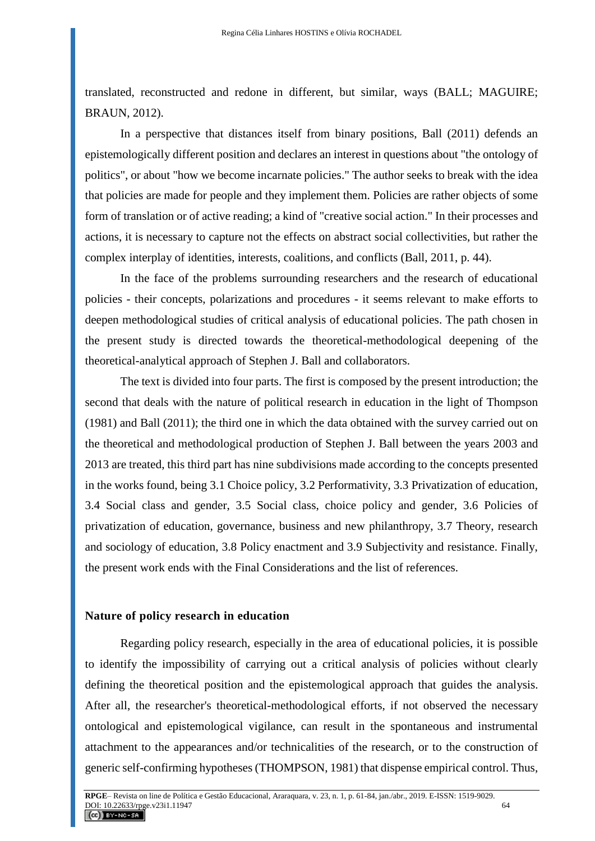translated, reconstructed and redone in different, but similar, ways (BALL; MAGUIRE; BRAUN, 2012).

In a perspective that distances itself from binary positions, Ball (2011) defends an epistemologically different position and declares an interest in questions about "the ontology of politics", or about "how we become incarnate policies." The author seeks to break with the idea that policies are made for people and they implement them. Policies are rather objects of some form of translation or of active reading; a kind of "creative social action." In their processes and actions, it is necessary to capture not the effects on abstract social collectivities, but rather the complex interplay of identities, interests, coalitions, and conflicts (Ball, 2011, p. 44).

In the face of the problems surrounding researchers and the research of educational policies - their concepts, polarizations and procedures - it seems relevant to make efforts to deepen methodological studies of critical analysis of educational policies. The path chosen in the present study is directed towards the theoretical-methodological deepening of the theoretical-analytical approach of Stephen J. Ball and collaborators.

The text is divided into four parts. The first is composed by the present introduction; the second that deals with the nature of political research in education in the light of Thompson (1981) and Ball (2011); the third one in which the data obtained with the survey carried out on the theoretical and methodological production of Stephen J. Ball between the years 2003 and 2013 are treated, this third part has nine subdivisions made according to the concepts presented in the works found, being 3.1 Choice policy, 3.2 Performativity, 3.3 Privatization of education, 3.4 Social class and gender, 3.5 Social class, choice policy and gender, 3.6 Policies of privatization of education, governance, business and new philanthropy, 3.7 Theory, research and sociology of education, 3.8 Policy enactment and 3.9 Subjectivity and resistance. Finally, the present work ends with the Final Considerations and the list of references.

#### **Nature of policy research in education**

Regarding policy research, especially in the area of educational policies, it is possible to identify the impossibility of carrying out a critical analysis of policies without clearly defining the theoretical position and the epistemological approach that guides the analysis. After all, the researcher's theoretical-methodological efforts, if not observed the necessary ontological and epistemological vigilance, can result in the spontaneous and instrumental attachment to the appearances and/or technicalities of the research, or to the construction of generic self-confirming hypotheses (THOMPSON, 1981) that dispense empirical control. Thus,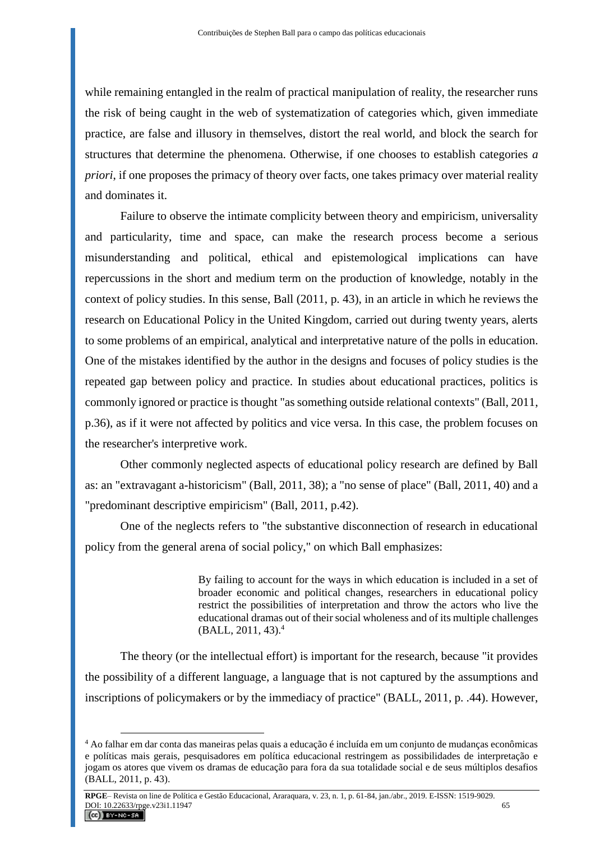while remaining entangled in the realm of practical manipulation of reality, the researcher runs the risk of being caught in the web of systematization of categories which, given immediate practice, are false and illusory in themselves, distort the real world, and block the search for structures that determine the phenomena. Otherwise, if one chooses to establish categories *a priori*, if one proposes the primacy of theory over facts, one takes primacy over material reality and dominates it.

Failure to observe the intimate complicity between theory and empiricism, universality and particularity, time and space, can make the research process become a serious misunderstanding and political, ethical and epistemological implications can have repercussions in the short and medium term on the production of knowledge, notably in the context of policy studies. In this sense, Ball (2011, p. 43), in an article in which he reviews the research on Educational Policy in the United Kingdom, carried out during twenty years, alerts to some problems of an empirical, analytical and interpretative nature of the polls in education. One of the mistakes identified by the author in the designs and focuses of policy studies is the repeated gap between policy and practice. In studies about educational practices, politics is commonly ignored or practice is thought "as something outside relational contexts" (Ball, 2011, p.36), as if it were not affected by politics and vice versa. In this case, the problem focuses on the researcher's interpretive work.

Other commonly neglected aspects of educational policy research are defined by Ball as: an "extravagant a-historicism" (Ball, 2011, 38); a "no sense of place" (Ball, 2011, 40) and a "predominant descriptive empiricism" (Ball, 2011, p.42).

One of the neglects refers to "the substantive disconnection of research in educational policy from the general arena of social policy," on which Ball emphasizes:

> By failing to account for the ways in which education is included in a set of broader economic and political changes, researchers in educational policy restrict the possibilities of interpretation and throw the actors who live the educational dramas out of their social wholeness and of its multiple challenges (BALL, 2011, 43).<sup>4</sup>

The theory (or the intellectual effort) is important for the research, because "it provides the possibility of a different language, a language that is not captured by the assumptions and inscriptions of policymakers or by the immediacy of practice" (BALL, 2011, p. .44). However,

 $\overline{a}$ 

<sup>4</sup> Ao falhar em dar conta das maneiras pelas quais a educação é incluída em um conjunto de mudanças econômicas e políticas mais gerais, pesquisadores em política educacional restringem as possibilidades de interpretação e jogam os atores que vivem os dramas de educação para fora da sua totalidade social e de seus múltiplos desafios (BALL, 2011, p. 43).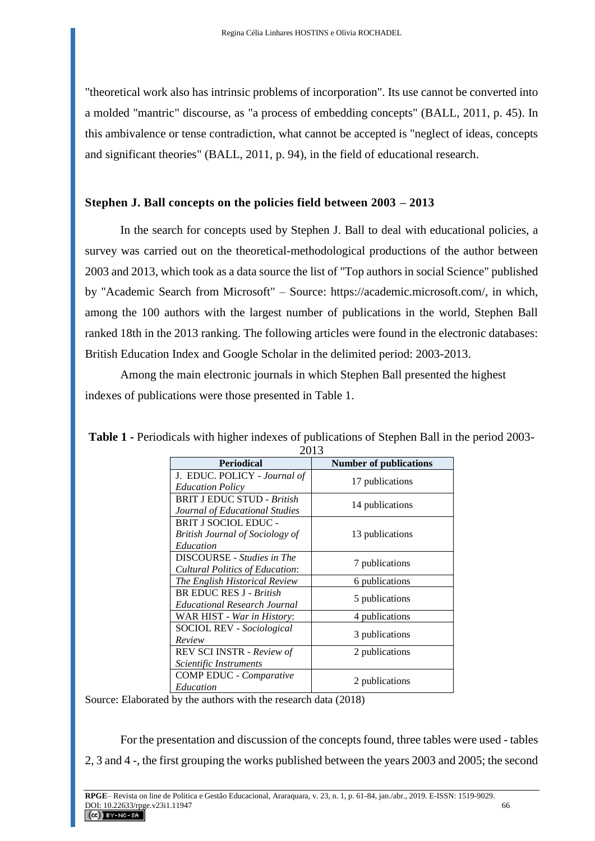"theoretical work also has intrinsic problems of incorporation". Its use cannot be converted into a molded "mantric" discourse, as "a process of embedding concepts" (BALL, 2011, p. 45). In this ambivalence or tense contradiction, what cannot be accepted is "neglect of ideas, concepts and significant theories" (BALL, 2011, p. 94), in the field of educational research.

# **Stephen J. Ball concepts on the policies field between 2003 – 2013**

In the search for concepts used by Stephen J. Ball to deal with educational policies, a survey was carried out on the theoretical-methodological productions of the author between 2003 and 2013, which took as a data source the list of "Top authors in social Science" published by "Academic Search from Microsoft" – Source: https://academic.microsoft.com/, in which, among the 100 authors with the largest number of publications in the world, Stephen Ball ranked 18th in the 2013 ranking. The following articles were found in the electronic databases: British Education Index and Google Scholar in the delimited period: 2003-2013.

Among the main electronic journals in which Stephen Ball presented the highest indexes of publications were those presented in Table 1.

| <b>Periodical</b>                      | <b>Number of publications</b> |
|----------------------------------------|-------------------------------|
| J. EDUC. POLICY - Journal of           | 17 publications               |
| <i>Education Policy</i>                |                               |
| <b>BRIT J EDUC STUD - British</b>      |                               |
| Journal of Educational Studies         | 14 publications               |
| BRIT J SOCIOL EDUC -                   |                               |
| <b>British Journal of Sociology of</b> | 13 publications               |
| Education                              |                               |
| DISCOURSE - Studies in The             |                               |
| Cultural Politics of Education:        | 7 publications                |
| The English Historical Review          | 6 publications                |
| <b>BR EDUC RES J - British</b>         |                               |
| Educational Research Journal           | 5 publications                |
| WAR HIST - <i>War in History</i> :     | 4 publications                |
| <b>SOCIOL REV</b> - Sociological       |                               |
| Review                                 | 3 publications                |
| REV SCI INSTR - Review of              | 2 publications                |
| Scientific Instruments                 |                               |
| <b>COMP EDUC</b> - <i>Comparative</i>  |                               |
| Education                              | 2 publications                |

**Table 1 -** Periodicals with higher indexes of publications of Stephen Ball in the period 2003- 2013

Source: Elaborated by the authors with the research data (2018)

For the presentation and discussion of the concepts found, three tables were used - tables 2, 3 and 4 -, the first grouping the works published between the years 2003 and 2005; the second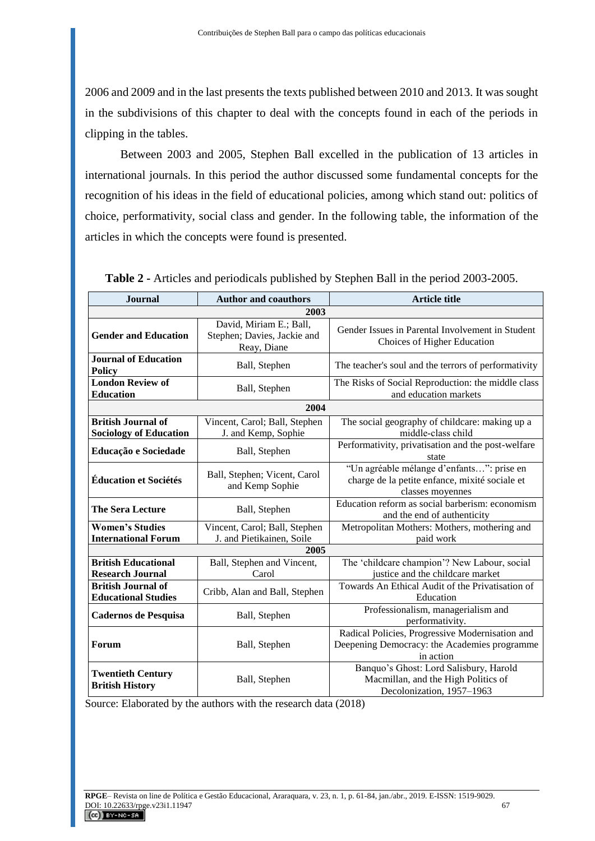2006 and 2009 and in the last presents the texts published between 2010 and 2013. It was sought in the subdivisions of this chapter to deal with the concepts found in each of the periods in clipping in the tables.

Between 2003 and 2005, Stephen Ball excelled in the publication of 13 articles in international journals. In this period the author discussed some fundamental concepts for the recognition of his ideas in the field of educational policies, among which stand out: politics of choice, performativity, social class and gender. In the following table, the information of the articles in which the concepts were found is presented.

| <b>Journal</b>                                             | <b>Author and coauthors</b>                                           | <b>Article title</b>                                                                                            |
|------------------------------------------------------------|-----------------------------------------------------------------------|-----------------------------------------------------------------------------------------------------------------|
| 2003                                                       |                                                                       |                                                                                                                 |
| <b>Gender and Education</b>                                | David, Miriam E.; Ball,<br>Stephen; Davies, Jackie and<br>Reay, Diane | Gender Issues in Parental Involvement in Student<br>Choices of Higher Education                                 |
| <b>Journal of Education</b><br><b>Policy</b>               | Ball, Stephen                                                         | The teacher's soul and the terrors of performativity                                                            |
| <b>London Review of</b><br><b>Education</b>                | Ball, Stephen                                                         | The Risks of Social Reproduction: the middle class<br>and education markets                                     |
|                                                            | 2004                                                                  |                                                                                                                 |
| <b>British Journal of</b><br><b>Sociology of Education</b> | Vincent, Carol; Ball, Stephen<br>J. and Kemp, Sophie                  | The social geography of childcare: making up a<br>middle-class child                                            |
| Educação e Sociedade                                       | Ball, Stephen                                                         | Performativity, privatisation and the post-welfare<br>state                                                     |
| <b>Éducation et Sociétés</b>                               | Ball, Stephen; Vicent, Carol<br>and Kemp Sophie                       | "Un agréable mélange d'enfants": prise en<br>charge de la petite enfance, mixité sociale et<br>classes moyennes |
| <b>The Sera Lecture</b>                                    | Ball, Stephen                                                         | Education reform as social barberism: economism<br>and the end of authenticity                                  |
| <b>Women's Studies</b><br><b>International Forum</b>       | Vincent, Carol; Ball, Stephen<br>J. and Pietikainen, Soile            | Metropolitan Mothers: Mothers, mothering and<br>paid work                                                       |
| 2005                                                       |                                                                       |                                                                                                                 |
| <b>British Educational</b><br><b>Research Journal</b>      | Ball, Stephen and Vincent,<br>Carol                                   | The 'childcare champion'? New Labour, social<br>justice and the childcare market                                |
| <b>British Journal of</b><br><b>Educational Studies</b>    | Cribb, Alan and Ball, Stephen                                         | Towards An Ethical Audit of the Privatisation of<br>Education                                                   |
| <b>Cadernos de Pesquisa</b>                                | Ball, Stephen                                                         | Professionalism, managerialism and<br>performativity.                                                           |
| Forum                                                      | Ball, Stephen                                                         | Radical Policies, Progressive Modernisation and<br>Deepening Democracy: the Academies programme<br>in action    |
| <b>Twentieth Century</b><br><b>British History</b>         | Ball, Stephen                                                         | Banquo's Ghost: Lord Salisbury, Harold<br>Macmillan, and the High Politics of<br>Decolonization, 1957-1963      |

**Table 2 -** Articles and periodicals published by Stephen Ball in the period 2003-2005.

Source: Elaborated by the authors with the research data (2018)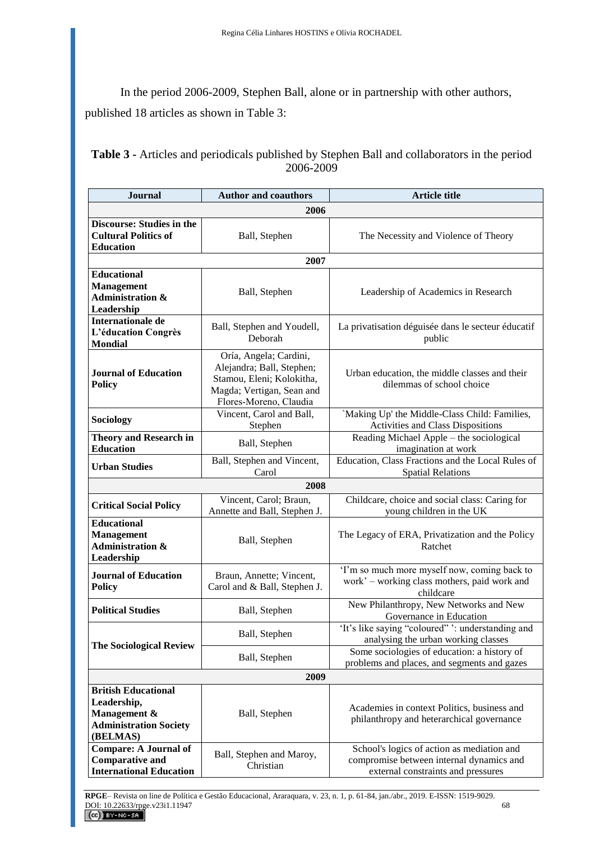In the period 2006-2009, Stephen Ball, alone or in partnership with other authors, published 18 articles as shown in Table 3:

| <b>Table 3 - Articles and periodicals published by Stephen Ball and collaborators in the period</b> |
|-----------------------------------------------------------------------------------------------------|
| 2006-2009                                                                                           |

| <b>Journal</b>                                                                                         | <b>Author and coauthors</b>                                                                                                             | <b>Article title</b>                                                                                                         |
|--------------------------------------------------------------------------------------------------------|-----------------------------------------------------------------------------------------------------------------------------------------|------------------------------------------------------------------------------------------------------------------------------|
| 2006                                                                                                   |                                                                                                                                         |                                                                                                                              |
| <b>Discourse: Studies in the</b><br><b>Cultural Politics of</b><br><b>Education</b>                    | Ball, Stephen                                                                                                                           | The Necessity and Violence of Theory                                                                                         |
|                                                                                                        | 2007                                                                                                                                    |                                                                                                                              |
| <b>Educational</b><br>Management<br><b>Administration &amp;</b><br>Leadership                          | Ball, Stephen                                                                                                                           | Leadership of Academics in Research                                                                                          |
| Internationale de<br>L'éducation Congrès<br><b>Mondial</b>                                             | Ball, Stephen and Youdell,<br>Deborah                                                                                                   | La privatisation déguisée dans le secteur éducatif<br>public                                                                 |
| <b>Journal of Education</b><br><b>Policy</b>                                                           | Oría, Angela; Cardini,<br>Alejandra; Ball, Stephen;<br>Stamou, Eleni; Kolokitha,<br>Magda; Vertigan, Sean and<br>Flores-Moreno, Claudia | Urban education, the middle classes and their<br>dilemmas of school choice                                                   |
| Sociology                                                                                              | Vincent, Carol and Ball,<br>Stephen                                                                                                     | 'Making Up' the Middle-Class Child: Families,<br>Activities and Class Dispositions                                           |
| <b>Theory and Research in</b><br><b>Education</b>                                                      | Ball, Stephen                                                                                                                           | Reading Michael Apple – the sociological<br>imagination at work                                                              |
| <b>Urban Studies</b>                                                                                   | Ball, Stephen and Vincent,<br>Carol                                                                                                     | Education, Class Fractions and the Local Rules of<br><b>Spatial Relations</b>                                                |
|                                                                                                        | 2008                                                                                                                                    |                                                                                                                              |
| <b>Critical Social Policy</b>                                                                          | Vincent, Carol; Braun,<br>Annette and Ball, Stephen J.                                                                                  | Childcare, choice and social class: Caring for<br>young children in the UK                                                   |
| <b>Educational</b><br><b>Management</b><br><b>Administration &amp;</b><br>Leadership                   | Ball, Stephen                                                                                                                           | The Legacy of ERA, Privatization and the Policy<br>Ratchet                                                                   |
| <b>Journal of Education</b><br><b>Policy</b>                                                           | Braun, Annette; Vincent,<br>Carol and & Ball, Stephen J.                                                                                | 'I'm so much more myself now, coming back to<br>work' – working class mothers, paid work and<br>childcare                    |
| <b>Political Studies</b>                                                                               | Ball, Stephen                                                                                                                           | New Philanthropy, New Networks and New<br>Governance in Education                                                            |
| <b>The Sociological Review</b>                                                                         | Ball, Stephen                                                                                                                           | 'It's like saying "coloured" ': understanding and<br>analysing the urban working classes                                     |
|                                                                                                        | Ball, Stephen                                                                                                                           | Some sociologies of education: a history of<br>problems and places, and segments and gazes                                   |
| 2009                                                                                                   |                                                                                                                                         |                                                                                                                              |
| <b>British Educational</b><br>Leadership,<br>Management &<br><b>Administration Society</b><br>(BELMAS) | Ball, Stephen                                                                                                                           | Academies in context Politics, business and<br>philanthropy and heterarchical governance                                     |
| <b>Compare: A Journal of</b><br><b>Comparative and</b><br><b>International Education</b>               | Ball, Stephen and Maroy,<br>Christian                                                                                                   | School's logics of action as mediation and<br>compromise between internal dynamics and<br>external constraints and pressures |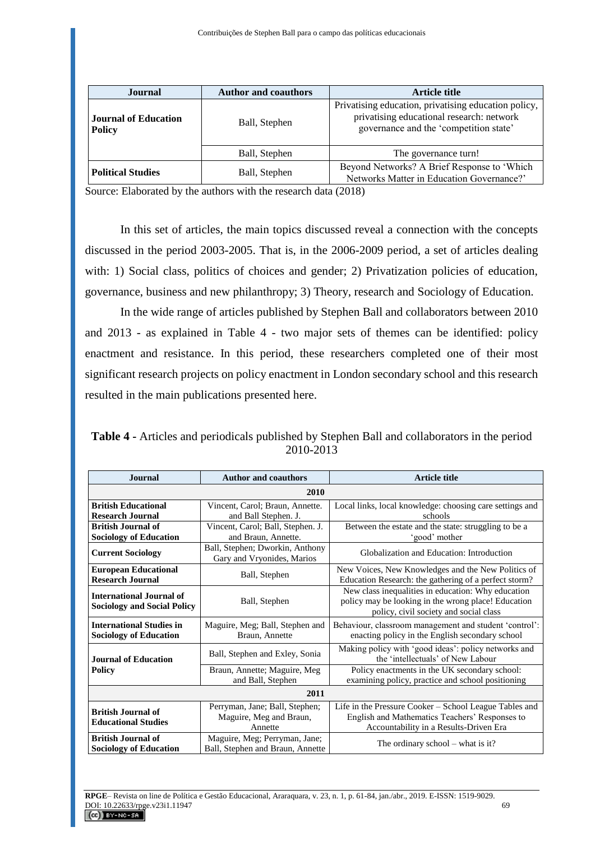| Journal                                      | <b>Author and coauthors</b> | <b>Article title</b>                                                                                                                        |
|----------------------------------------------|-----------------------------|---------------------------------------------------------------------------------------------------------------------------------------------|
| <b>Journal of Education</b><br><b>Policy</b> | Ball, Stephen               | Privatising education, privatising education policy,<br>privatising educational research: network<br>governance and the 'competition state' |
|                                              | Ball, Stephen               | The governance turn!                                                                                                                        |
| <b>Political Studies</b>                     | Ball, Stephen               | Beyond Networks? A Brief Response to 'Which<br>Networks Matter in Education Governance?'                                                    |

Source: Elaborated by the authors with the research data (2018)

In this set of articles, the main topics discussed reveal a connection with the concepts discussed in the period 2003-2005. That is, in the 2006-2009 period, a set of articles dealing with: 1) Social class, politics of choices and gender; 2) Privatization policies of education, governance, business and new philanthropy; 3) Theory, research and Sociology of Education.

In the wide range of articles published by Stephen Ball and collaborators between 2010 and 2013 - as explained in Table 4 - two major sets of themes can be identified: policy enactment and resistance. In this period, these researchers completed one of their most significant research projects on policy enactment in London secondary school and this research resulted in the main publications presented here.

**Table 4 -** Articles and periodicals published by Stephen Ball and collaborators in the period 2010-2013

| <b>Journal</b>                                                        | <b>Author and coauthors</b>                                          | <b>Article title</b>                                                                                                                                |
|-----------------------------------------------------------------------|----------------------------------------------------------------------|-----------------------------------------------------------------------------------------------------------------------------------------------------|
| 2010                                                                  |                                                                      |                                                                                                                                                     |
| <b>British Educational</b><br><b>Research Journal</b>                 | Vincent, Carol; Braun, Annette.<br>and Ball Stephen. J.              | Local links, local knowledge: choosing care settings and<br>schools                                                                                 |
| <b>British Journal of</b><br><b>Sociology of Education</b>            | Vincent, Carol; Ball, Stephen. J.<br>and Braun, Annette.             | Between the estate and the state: struggling to be a<br>'good' mother                                                                               |
| <b>Current Sociology</b>                                              | Ball, Stephen; Dworkin, Anthony<br>Gary and Vryonides, Marios        | Globalization and Education: Introduction                                                                                                           |
| <b>European Educational</b><br><b>Research Journal</b>                | Ball, Stephen                                                        | New Voices, New Knowledges and the New Politics of<br>Education Research: the gathering of a perfect storm?                                         |
| <b>International Journal of</b><br><b>Sociology and Social Policy</b> | Ball, Stephen                                                        | New class inequalities in education: Why education<br>policy may be looking in the wrong place! Education<br>policy, civil society and social class |
| <b>International Studies in</b><br><b>Sociology of Education</b>      | Maguire, Meg; Ball, Stephen and<br>Braun, Annette                    | Behaviour, classroom management and student 'control':<br>enacting policy in the English secondary school                                           |
| <b>Journal of Education</b>                                           | Ball, Stephen and Exley, Sonia                                       | Making policy with 'good ideas': policy networks and<br>the 'intellectuals' of New Labour                                                           |
| Policy                                                                | Braun, Annette; Maguire, Meg<br>and Ball, Stephen                    | Policy enactments in the UK secondary school:<br>examining policy, practice and school positioning                                                  |
| 2011                                                                  |                                                                      |                                                                                                                                                     |
| <b>British Journal of</b><br><b>Educational Studies</b>               | Perryman, Jane; Ball, Stephen;<br>Maguire, Meg and Braun,<br>Annette | Life in the Pressure Cooker – School League Tables and<br>English and Mathematics Teachers' Responses to<br>Accountability in a Results-Driven Era  |
| British Journal of<br><b>Sociology of Education</b>                   | Maguire, Meg; Perryman, Jane;<br>Ball, Stephen and Braun, Annette    | The ordinary school – what is it?                                                                                                                   |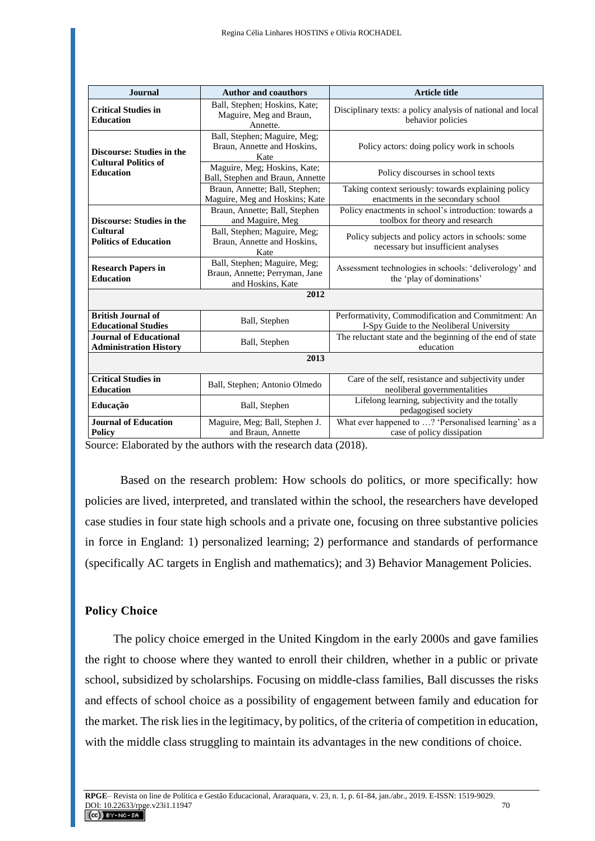| <b>Journal</b>                                                  | <b>Author and coauthors</b>                                                         | <b>Article title</b>                                                                           |
|-----------------------------------------------------------------|-------------------------------------------------------------------------------------|------------------------------------------------------------------------------------------------|
| <b>Critical Studies in</b><br><b>Education</b>                  | Ball, Stephen; Hoskins, Kate;<br>Maguire, Meg and Braun,<br>Annette.                | Disciplinary texts: a policy analysis of national and local<br>behavior policies               |
| <b>Discourse: Studies in the</b><br><b>Cultural Politics of</b> | Ball, Stephen; Maguire, Meg;<br>Braun, Annette and Hoskins,<br>Kate                 | Policy actors: doing policy work in schools                                                    |
| <b>Education</b>                                                | Maguire, Meg; Hoskins, Kate;<br>Ball, Stephen and Braun, Annette                    | Policy discourses in school texts                                                              |
|                                                                 | Braun, Annette; Ball, Stephen;<br>Maguire, Meg and Hoskins; Kate                    | Taking context seriously: towards explaining policy<br>enactments in the secondary school      |
| <b>Discourse: Studies in the</b>                                | Braun, Annette; Ball, Stephen<br>and Maguire, Meg                                   | Policy enactments in school's introduction: towards a<br>toolbox for theory and research       |
| <b>Cultural</b><br><b>Politics of Education</b>                 | Ball, Stephen; Maguire, Meg;<br>Braun, Annette and Hoskins,<br>Kate                 | Policy subjects and policy actors in schools: some<br>necessary but insufficient analyses      |
| <b>Research Papers in</b><br><b>Education</b>                   | Ball, Stephen; Maguire, Meg;<br>Braun, Annette; Perryman, Jane<br>and Hoskins, Kate | Assessment technologies in schools: 'deliverology' and<br>the 'play of dominations'            |
| 2012                                                            |                                                                                     |                                                                                                |
| <b>British Journal of</b><br><b>Educational Studies</b>         | Ball, Stephen                                                                       | Performativity, Commodification and Commitment: An<br>I-Spy Guide to the Neoliberal University |
| Journal of Educational<br><b>Administration History</b>         | Ball, Stephen                                                                       | The reluctant state and the beginning of the end of state<br>education                         |
| 2013                                                            |                                                                                     |                                                                                                |
| <b>Critical Studies in</b><br><b>Education</b>                  | Ball, Stephen; Antonio Olmedo                                                       | Care of the self, resistance and subjectivity under<br>neoliberal governmentalities            |
| Educação                                                        | Ball, Stephen                                                                       | Lifelong learning, subjectivity and the totally<br>pedagogised society                         |
| <b>Journal of Education</b><br><b>Policy</b>                    | Maguire, Meg; Ball, Stephen J.<br>and Braun, Annette                                | What ever happened to ? 'Personalised learning' as a<br>case of policy dissipation             |

Source: Elaborated by the authors with the research data (2018).

Based on the research problem: How schools do politics, or more specifically: how policies are lived, interpreted, and translated within the school, the researchers have developed case studies in four state high schools and a private one, focusing on three substantive policies in force in England: 1) personalized learning; 2) performance and standards of performance (specifically AC targets in English and mathematics); and 3) Behavior Management Policies.

## **Policy Choice**

The policy choice emerged in the United Kingdom in the early 2000s and gave families the right to choose where they wanted to enroll their children, whether in a public or private school, subsidized by scholarships. Focusing on middle-class families, Ball discusses the risks and effects of school choice as a possibility of engagement between family and education for the market. The risk lies in the legitimacy, by politics, of the criteria of competition in education, with the middle class struggling to maintain its advantages in the new conditions of choice.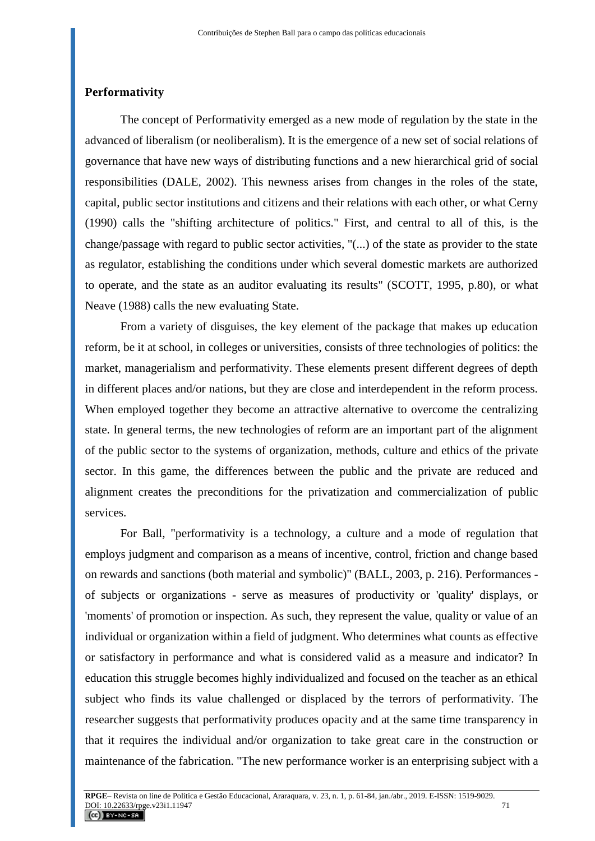### **Performativity**

The concept of Performativity emerged as a new mode of regulation by the state in the advanced of liberalism (or neoliberalism). It is the emergence of a new set of social relations of governance that have new ways of distributing functions and a new hierarchical grid of social responsibilities (DALE, 2002). This newness arises from changes in the roles of the state, capital, public sector institutions and citizens and their relations with each other, or what Cerny (1990) calls the "shifting architecture of politics." First, and central to all of this, is the change/passage with regard to public sector activities, "(...) of the state as provider to the state as regulator, establishing the conditions under which several domestic markets are authorized to operate, and the state as an auditor evaluating its results" (SCOTT, 1995, p.80), or what Neave (1988) calls the new evaluating State.

From a variety of disguises, the key element of the package that makes up education reform, be it at school, in colleges or universities, consists of three technologies of politics: the market, managerialism and performativity. These elements present different degrees of depth in different places and/or nations, but they are close and interdependent in the reform process. When employed together they become an attractive alternative to overcome the centralizing state. In general terms, the new technologies of reform are an important part of the alignment of the public sector to the systems of organization, methods, culture and ethics of the private sector. In this game, the differences between the public and the private are reduced and alignment creates the preconditions for the privatization and commercialization of public services.

For Ball, "performativity is a technology, a culture and a mode of regulation that employs judgment and comparison as a means of incentive, control, friction and change based on rewards and sanctions (both material and symbolic)" (BALL, 2003, p. 216). Performances of subjects or organizations - serve as measures of productivity or 'quality' displays, or 'moments' of promotion or inspection. As such, they represent the value, quality or value of an individual or organization within a field of judgment. Who determines what counts as effective or satisfactory in performance and what is considered valid as a measure and indicator? In education this struggle becomes highly individualized and focused on the teacher as an ethical subject who finds its value challenged or displaced by the terrors of performativity. The researcher suggests that performativity produces opacity and at the same time transparency in that it requires the individual and/or organization to take great care in the construction or maintenance of the fabrication. "The new performance worker is an enterprising subject with a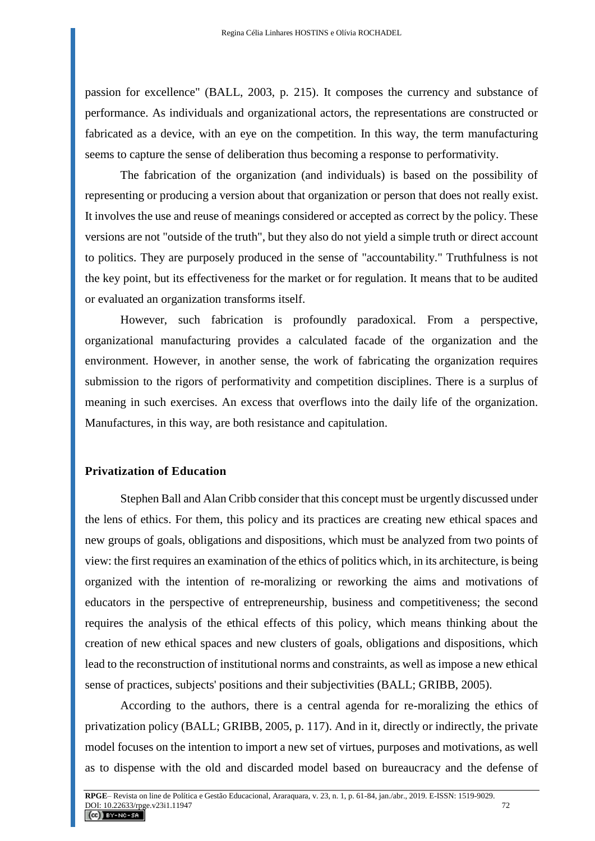passion for excellence" (BALL, 2003, p. 215). It composes the currency and substance of performance. As individuals and organizational actors, the representations are constructed or fabricated as a device, with an eye on the competition. In this way, the term manufacturing seems to capture the sense of deliberation thus becoming a response to performativity.

The fabrication of the organization (and individuals) is based on the possibility of representing or producing a version about that organization or person that does not really exist. It involves the use and reuse of meanings considered or accepted as correct by the policy. These versions are not "outside of the truth", but they also do not yield a simple truth or direct account to politics. They are purposely produced in the sense of "accountability." Truthfulness is not the key point, but its effectiveness for the market or for regulation. It means that to be audited or evaluated an organization transforms itself.

However, such fabrication is profoundly paradoxical. From a perspective, organizational manufacturing provides a calculated facade of the organization and the environment. However, in another sense, the work of fabricating the organization requires submission to the rigors of performativity and competition disciplines. There is a surplus of meaning in such exercises. An excess that overflows into the daily life of the organization. Manufactures, in this way, are both resistance and capitulation.

#### **Privatization of Education**

Stephen Ball and Alan Cribb consider that this concept must be urgently discussed under the lens of ethics. For them, this policy and its practices are creating new ethical spaces and new groups of goals, obligations and dispositions, which must be analyzed from two points of view: the first requires an examination of the ethics of politics which, in its architecture, is being organized with the intention of re-moralizing or reworking the aims and motivations of educators in the perspective of entrepreneurship, business and competitiveness; the second requires the analysis of the ethical effects of this policy, which means thinking about the creation of new ethical spaces and new clusters of goals, obligations and dispositions, which lead to the reconstruction of institutional norms and constraints, as well as impose a new ethical sense of practices, subjects' positions and their subjectivities (BALL; GRIBB, 2005).

According to the authors, there is a central agenda for re-moralizing the ethics of privatization policy (BALL; GRIBB, 2005, p. 117). And in it, directly or indirectly, the private model focuses on the intention to import a new set of virtues, purposes and motivations, as well as to dispense with the old and discarded model based on bureaucracy and the defense of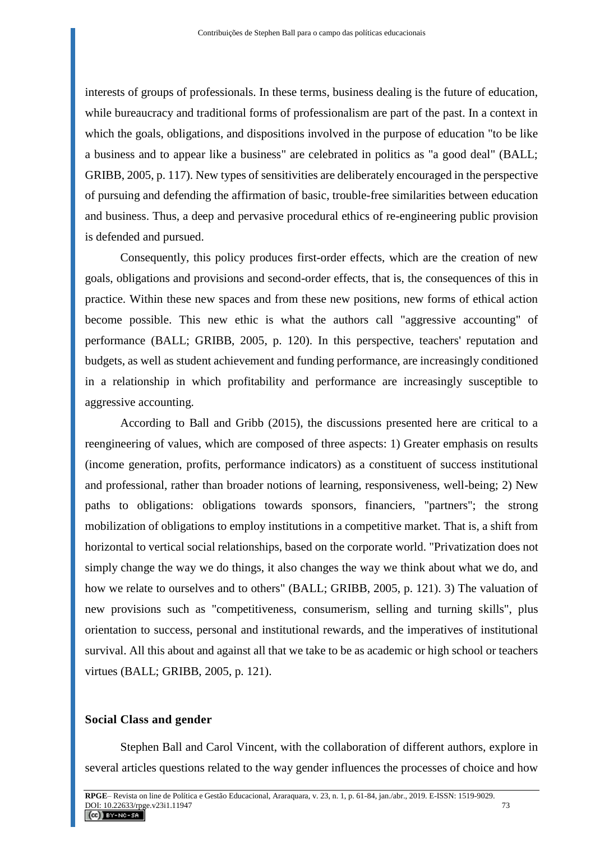interests of groups of professionals. In these terms, business dealing is the future of education, while bureaucracy and traditional forms of professionalism are part of the past. In a context in which the goals, obligations, and dispositions involved in the purpose of education "to be like a business and to appear like a business" are celebrated in politics as "a good deal" (BALL; GRIBB, 2005, p. 117). New types of sensitivities are deliberately encouraged in the perspective of pursuing and defending the affirmation of basic, trouble-free similarities between education and business. Thus, a deep and pervasive procedural ethics of re-engineering public provision is defended and pursued.

Consequently, this policy produces first-order effects, which are the creation of new goals, obligations and provisions and second-order effects, that is, the consequences of this in practice. Within these new spaces and from these new positions, new forms of ethical action become possible. This new ethic is what the authors call "aggressive accounting" of performance (BALL; GRIBB, 2005, p. 120). In this perspective, teachers' reputation and budgets, as well as student achievement and funding performance, are increasingly conditioned in a relationship in which profitability and performance are increasingly susceptible to aggressive accounting.

According to Ball and Gribb (2015), the discussions presented here are critical to a reengineering of values, which are composed of three aspects: 1) Greater emphasis on results (income generation, profits, performance indicators) as a constituent of success institutional and professional, rather than broader notions of learning, responsiveness, well-being; 2) New paths to obligations: obligations towards sponsors, financiers, "partners"; the strong mobilization of obligations to employ institutions in a competitive market. That is, a shift from horizontal to vertical social relationships, based on the corporate world. "Privatization does not simply change the way we do things, it also changes the way we think about what we do, and how we relate to ourselves and to others" (BALL; GRIBB, 2005, p. 121). 3) The valuation of new provisions such as "competitiveness, consumerism, selling and turning skills", plus orientation to success, personal and institutional rewards, and the imperatives of institutional survival. All this about and against all that we take to be as academic or high school or teachers virtues (BALL; GRIBB, 2005, p. 121).

#### **Social Class and gender**

Stephen Ball and Carol Vincent, with the collaboration of different authors, explore in several articles questions related to the way gender influences the processes of choice and how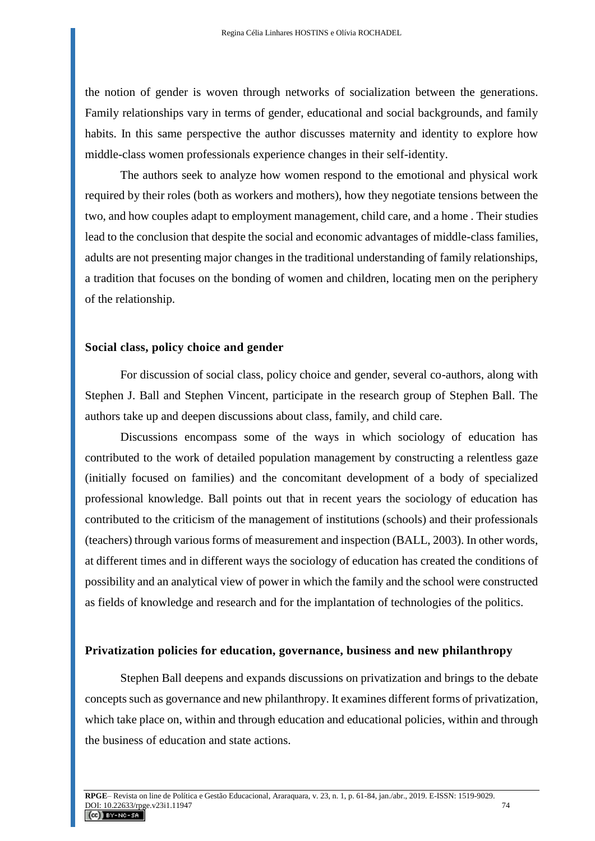the notion of gender is woven through networks of socialization between the generations. Family relationships vary in terms of gender, educational and social backgrounds, and family habits. In this same perspective the author discusses maternity and identity to explore how middle-class women professionals experience changes in their self-identity.

The authors seek to analyze how women respond to the emotional and physical work required by their roles (both as workers and mothers), how they negotiate tensions between the two, and how couples adapt to employment management, child care, and a home . Their studies lead to the conclusion that despite the social and economic advantages of middle-class families, adults are not presenting major changes in the traditional understanding of family relationships, a tradition that focuses on the bonding of women and children, locating men on the periphery of the relationship.

#### **Social class, policy choice and gender**

For discussion of social class, policy choice and gender, several co-authors, along with Stephen J. Ball and Stephen Vincent, participate in the research group of Stephen Ball. The authors take up and deepen discussions about class, family, and child care.

Discussions encompass some of the ways in which sociology of education has contributed to the work of detailed population management by constructing a relentless gaze (initially focused on families) and the concomitant development of a body of specialized professional knowledge. Ball points out that in recent years the sociology of education has contributed to the criticism of the management of institutions (schools) and their professionals (teachers) through various forms of measurement and inspection (BALL, 2003). In other words, at different times and in different ways the sociology of education has created the conditions of possibility and an analytical view of power in which the family and the school were constructed as fields of knowledge and research and for the implantation of technologies of the politics.

#### **Privatization policies for education, governance, business and new philanthropy**

Stephen Ball deepens and expands discussions on privatization and brings to the debate concepts such as governance and new philanthropy. It examines different forms of privatization, which take place on, within and through education and educational policies, within and through the business of education and state actions.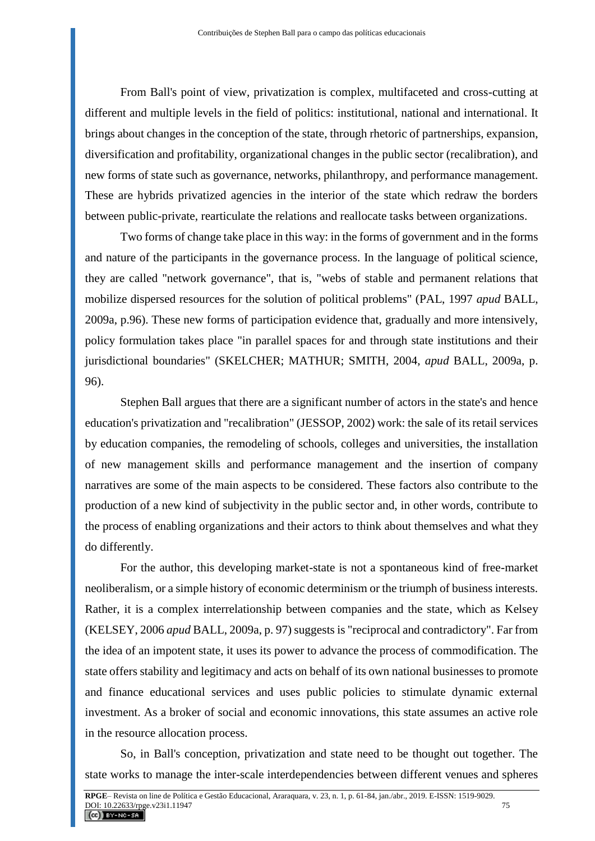From Ball's point of view, privatization is complex, multifaceted and cross-cutting at different and multiple levels in the field of politics: institutional, national and international. It brings about changes in the conception of the state, through rhetoric of partnerships, expansion, diversification and profitability, organizational changes in the public sector (recalibration), and new forms of state such as governance, networks, philanthropy, and performance management. These are hybrids privatized agencies in the interior of the state which redraw the borders between public-private, rearticulate the relations and reallocate tasks between organizations.

Two forms of change take place in this way: in the forms of government and in the forms and nature of the participants in the governance process. In the language of political science, they are called "network governance", that is, "webs of stable and permanent relations that mobilize dispersed resources for the solution of political problems" (PAL, 1997 *apud* BALL, 2009a, p.96). These new forms of participation evidence that, gradually and more intensively, policy formulation takes place "in parallel spaces for and through state institutions and their jurisdictional boundaries" (SKELCHER; MATHUR; SMITH, 2004, *apud* BALL, 2009a, p. 96).

Stephen Ball argues that there are a significant number of actors in the state's and hence education's privatization and "recalibration" (JESSOP, 2002) work: the sale of its retail services by education companies, the remodeling of schools, colleges and universities, the installation of new management skills and performance management and the insertion of company narratives are some of the main aspects to be considered. These factors also contribute to the production of a new kind of subjectivity in the public sector and, in other words, contribute to the process of enabling organizations and their actors to think about themselves and what they do differently.

For the author, this developing market-state is not a spontaneous kind of free-market neoliberalism, or a simple history of economic determinism or the triumph of business interests. Rather, it is a complex interrelationship between companies and the state, which as Kelsey (KELSEY, 2006 *apud* BALL, 2009a, p. 97) suggests is "reciprocal and contradictory". Far from the idea of an impotent state, it uses its power to advance the process of commodification. The state offers stability and legitimacy and acts on behalf of its own national businesses to promote and finance educational services and uses public policies to stimulate dynamic external investment. As a broker of social and economic innovations, this state assumes an active role in the resource allocation process.

So, in Ball's conception, privatization and state need to be thought out together. The state works to manage the inter-scale interdependencies between different venues and spheres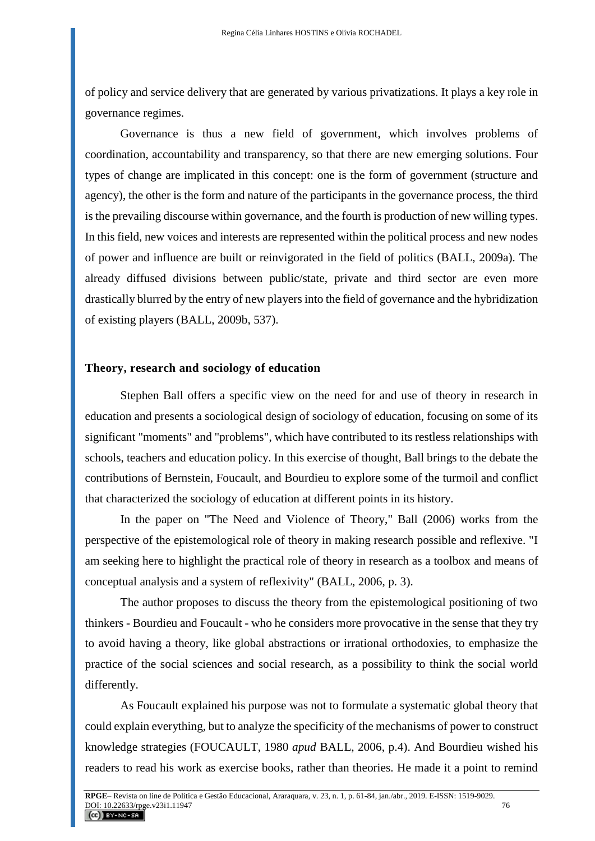of policy and service delivery that are generated by various privatizations. It plays a key role in governance regimes.

Governance is thus a new field of government, which involves problems of coordination, accountability and transparency, so that there are new emerging solutions. Four types of change are implicated in this concept: one is the form of government (structure and agency), the other is the form and nature of the participants in the governance process, the third is the prevailing discourse within governance, and the fourth is production of new willing types. In this field, new voices and interests are represented within the political process and new nodes of power and influence are built or reinvigorated in the field of politics (BALL, 2009a). The already diffused divisions between public/state, private and third sector are even more drastically blurred by the entry of new players into the field of governance and the hybridization of existing players (BALL, 2009b, 537).

#### **Theory, research and sociology of education**

Stephen Ball offers a specific view on the need for and use of theory in research in education and presents a sociological design of sociology of education, focusing on some of its significant "moments" and "problems", which have contributed to its restless relationships with schools, teachers and education policy. In this exercise of thought, Ball brings to the debate the contributions of Bernstein, Foucault, and Bourdieu to explore some of the turmoil and conflict that characterized the sociology of education at different points in its history.

In the paper on "The Need and Violence of Theory," Ball (2006) works from the perspective of the epistemological role of theory in making research possible and reflexive. "I am seeking here to highlight the practical role of theory in research as a toolbox and means of conceptual analysis and a system of reflexivity" (BALL, 2006, p. 3).

The author proposes to discuss the theory from the epistemological positioning of two thinkers - Bourdieu and Foucault - who he considers more provocative in the sense that they try to avoid having a theory, like global abstractions or irrational orthodoxies, to emphasize the practice of the social sciences and social research, as a possibility to think the social world differently.

As Foucault explained his purpose was not to formulate a systematic global theory that could explain everything, but to analyze the specificity of the mechanisms of power to construct knowledge strategies (FOUCAULT, 1980 *apud* BALL, 2006, p.4). And Bourdieu wished his readers to read his work as exercise books, rather than theories. He made it a point to remind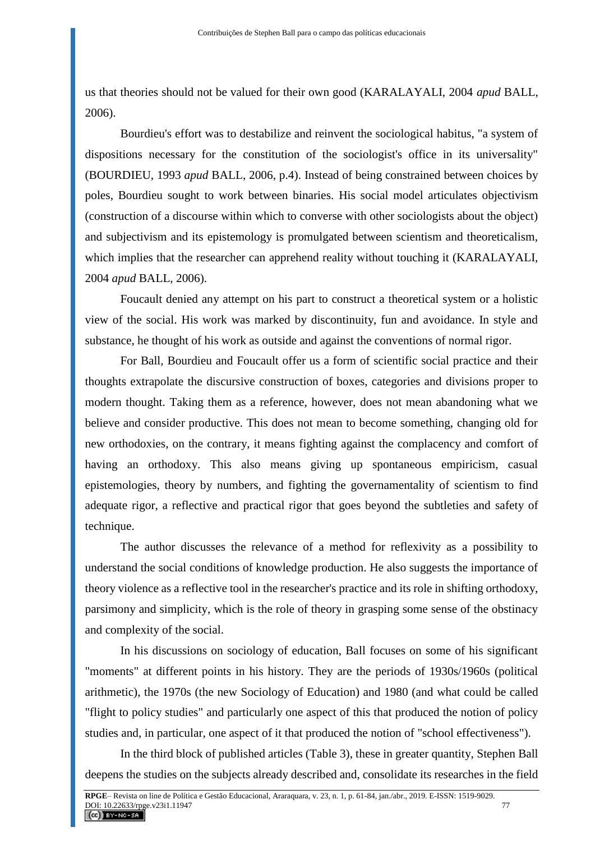us that theories should not be valued for their own good (KARALAYALI, 2004 *apud* BALL, 2006).

Bourdieu's effort was to destabilize and reinvent the sociological habitus, "a system of dispositions necessary for the constitution of the sociologist's office in its universality" (BOURDIEU, 1993 *apud* BALL, 2006, p.4). Instead of being constrained between choices by poles, Bourdieu sought to work between binaries. His social model articulates objectivism (construction of a discourse within which to converse with other sociologists about the object) and subjectivism and its epistemology is promulgated between scientism and theoreticalism, which implies that the researcher can apprehend reality without touching it (KARALAYALI, 2004 *apud* BALL, 2006).

Foucault denied any attempt on his part to construct a theoretical system or a holistic view of the social. His work was marked by discontinuity, fun and avoidance. In style and substance, he thought of his work as outside and against the conventions of normal rigor.

For Ball, Bourdieu and Foucault offer us a form of scientific social practice and their thoughts extrapolate the discursive construction of boxes, categories and divisions proper to modern thought. Taking them as a reference, however, does not mean abandoning what we believe and consider productive. This does not mean to become something, changing old for new orthodoxies, on the contrary, it means fighting against the complacency and comfort of having an orthodoxy. This also means giving up spontaneous empiricism, casual epistemologies, theory by numbers, and fighting the governamentality of scientism to find adequate rigor, a reflective and practical rigor that goes beyond the subtleties and safety of technique.

The author discusses the relevance of a method for reflexivity as a possibility to understand the social conditions of knowledge production. He also suggests the importance of theory violence as a reflective tool in the researcher's practice and its role in shifting orthodoxy, parsimony and simplicity, which is the role of theory in grasping some sense of the obstinacy and complexity of the social.

In his discussions on sociology of education, Ball focuses on some of his significant "moments" at different points in his history. They are the periods of 1930s/1960s (political arithmetic), the 1970s (the new Sociology of Education) and 1980 (and what could be called "flight to policy studies" and particularly one aspect of this that produced the notion of policy studies and, in particular, one aspect of it that produced the notion of "school effectiveness").

In the third block of published articles (Table 3), these in greater quantity, Stephen Ball deepens the studies on the subjects already described and, consolidate its researches in the field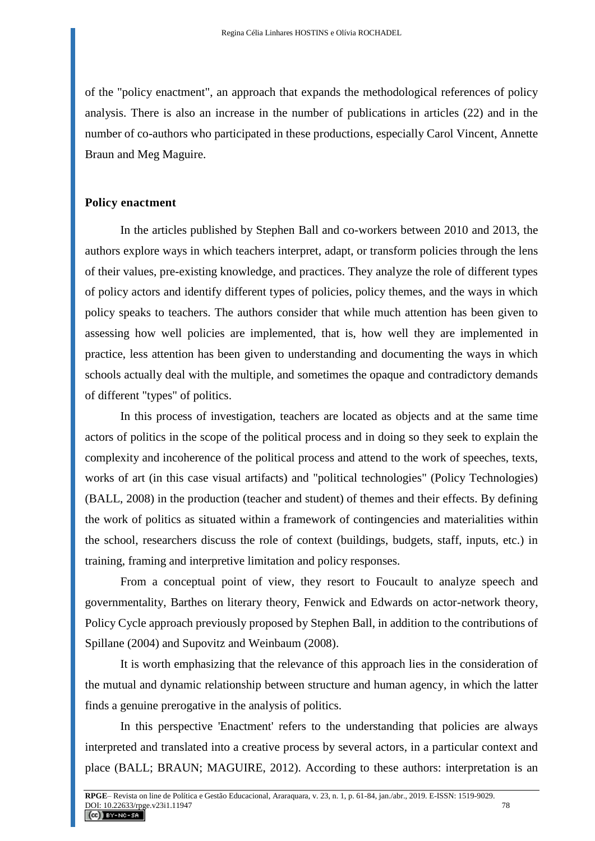of the "policy enactment", an approach that expands the methodological references of policy analysis. There is also an increase in the number of publications in articles (22) and in the number of co-authors who participated in these productions, especially Carol Vincent, Annette Braun and Meg Maguire.

### **Policy enactment**

In the articles published by Stephen Ball and co-workers between 2010 and 2013, the authors explore ways in which teachers interpret, adapt, or transform policies through the lens of their values, pre-existing knowledge, and practices. They analyze the role of different types of policy actors and identify different types of policies, policy themes, and the ways in which policy speaks to teachers. The authors consider that while much attention has been given to assessing how well policies are implemented, that is, how well they are implemented in practice, less attention has been given to understanding and documenting the ways in which schools actually deal with the multiple, and sometimes the opaque and contradictory demands of different "types" of politics.

In this process of investigation, teachers are located as objects and at the same time actors of politics in the scope of the political process and in doing so they seek to explain the complexity and incoherence of the political process and attend to the work of speeches, texts, works of art (in this case visual artifacts) and "political technologies" (Policy Technologies) (BALL, 2008) in the production (teacher and student) of themes and their effects. By defining the work of politics as situated within a framework of contingencies and materialities within the school, researchers discuss the role of context (buildings, budgets, staff, inputs, etc.) in training, framing and interpretive limitation and policy responses.

From a conceptual point of view, they resort to Foucault to analyze speech and governmentality, Barthes on literary theory, Fenwick and Edwards on actor-network theory, Policy Cycle approach previously proposed by Stephen Ball, in addition to the contributions of Spillane (2004) and Supovitz and Weinbaum (2008).

It is worth emphasizing that the relevance of this approach lies in the consideration of the mutual and dynamic relationship between structure and human agency, in which the latter finds a genuine prerogative in the analysis of politics.

In this perspective 'Enactment' refers to the understanding that policies are always interpreted and translated into a creative process by several actors, in a particular context and place (BALL; BRAUN; MAGUIRE, 2012). According to these authors: interpretation is an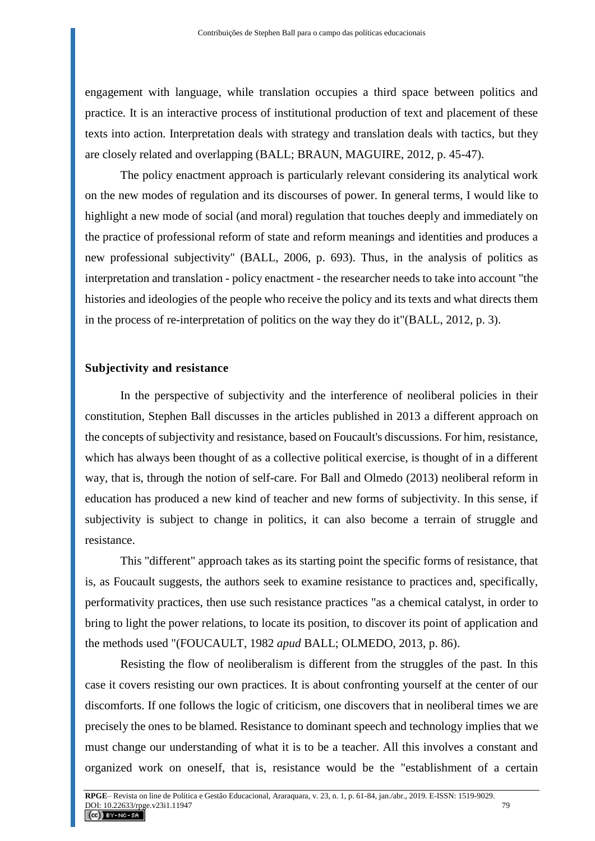engagement with language, while translation occupies a third space between politics and practice. It is an interactive process of institutional production of text and placement of these texts into action. Interpretation deals with strategy and translation deals with tactics, but they are closely related and overlapping (BALL; BRAUN, MAGUIRE, 2012, p. 45-47).

The policy enactment approach is particularly relevant considering its analytical work on the new modes of regulation and its discourses of power. In general terms, I would like to highlight a new mode of social (and moral) regulation that touches deeply and immediately on the practice of professional reform of state and reform meanings and identities and produces a new professional subjectivity" (BALL, 2006, p. 693). Thus, in the analysis of politics as interpretation and translation - policy enactment - the researcher needs to take into account "the histories and ideologies of the people who receive the policy and its texts and what directs them in the process of re-interpretation of politics on the way they do it"(BALL, 2012, p. 3).

#### **Subjectivity and resistance**

In the perspective of subjectivity and the interference of neoliberal policies in their constitution, Stephen Ball discusses in the articles published in 2013 a different approach on the concepts of subjectivity and resistance, based on Foucault's discussions. For him, resistance, which has always been thought of as a collective political exercise, is thought of in a different way, that is, through the notion of self-care. For Ball and Olmedo (2013) neoliberal reform in education has produced a new kind of teacher and new forms of subjectivity. In this sense, if subjectivity is subject to change in politics, it can also become a terrain of struggle and resistance.

This "different" approach takes as its starting point the specific forms of resistance, that is, as Foucault suggests, the authors seek to examine resistance to practices and, specifically, performativity practices, then use such resistance practices "as a chemical catalyst, in order to bring to light the power relations, to locate its position, to discover its point of application and the methods used "(FOUCAULT, 1982 *apud* BALL; OLMEDO, 2013, p. 86).

Resisting the flow of neoliberalism is different from the struggles of the past. In this case it covers resisting our own practices. It is about confronting yourself at the center of our discomforts. If one follows the logic of criticism, one discovers that in neoliberal times we are precisely the ones to be blamed. Resistance to dominant speech and technology implies that we must change our understanding of what it is to be a teacher. All this involves a constant and organized work on oneself, that is, resistance would be the "establishment of a certain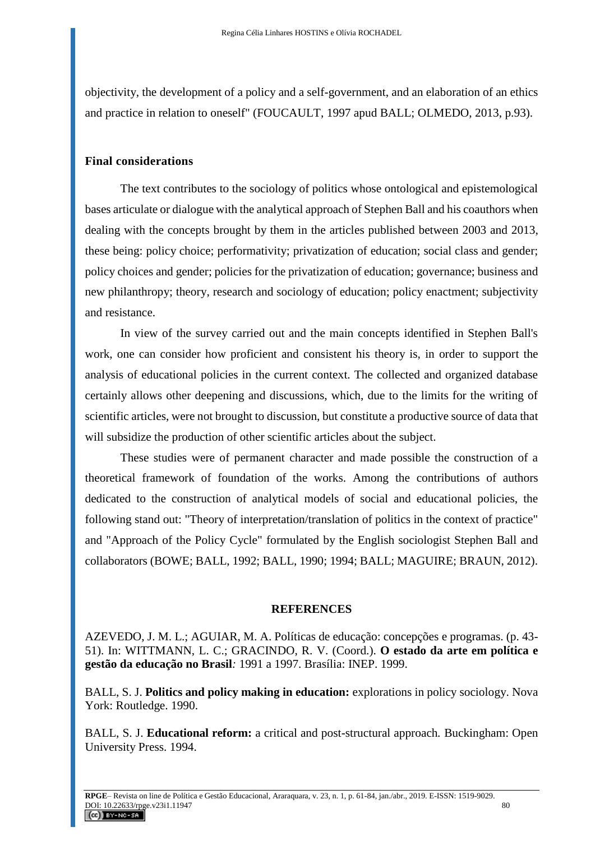objectivity, the development of a policy and a self-government, and an elaboration of an ethics and practice in relation to oneself" (FOUCAULT, 1997 apud BALL; OLMEDO, 2013, p.93).

## **Final considerations**

The text contributes to the sociology of politics whose ontological and epistemological bases articulate or dialogue with the analytical approach of Stephen Ball and his coauthors when dealing with the concepts brought by them in the articles published between 2003 and 2013, these being: policy choice; performativity; privatization of education; social class and gender; policy choices and gender; policies for the privatization of education; governance; business and new philanthropy; theory, research and sociology of education; policy enactment; subjectivity and resistance.

In view of the survey carried out and the main concepts identified in Stephen Ball's work, one can consider how proficient and consistent his theory is, in order to support the analysis of educational policies in the current context. The collected and organized database certainly allows other deepening and discussions, which, due to the limits for the writing of scientific articles, were not brought to discussion, but constitute a productive source of data that will subsidize the production of other scientific articles about the subject.

These studies were of permanent character and made possible the construction of a theoretical framework of foundation of the works. Among the contributions of authors dedicated to the construction of analytical models of social and educational policies, the following stand out: "Theory of interpretation/translation of politics in the context of practice" and "Approach of the Policy Cycle" formulated by the English sociologist Stephen Ball and collaborators (BOWE; BALL, 1992; BALL, 1990; 1994; BALL; MAGUIRE; BRAUN, 2012).

## **REFERENCES**

AZEVEDO, J. M. L.; AGUIAR, M. A. Políticas de educação: concepções e programas. (p. 43- 51). In: WITTMANN, L. C.; GRACINDO, R. V. (Coord.). **O estado da arte em política e gestão da educação no Brasil***:* 1991 a 1997. Brasília: INEP. 1999.

BALL, S. J. **Politics and policy making in education:** explorations in policy sociology. Nova York: Routledge. 1990.

BALL, S. J. **Educational reform:** a critical and post-structural approach*.* Buckingham: Open University Press. 1994.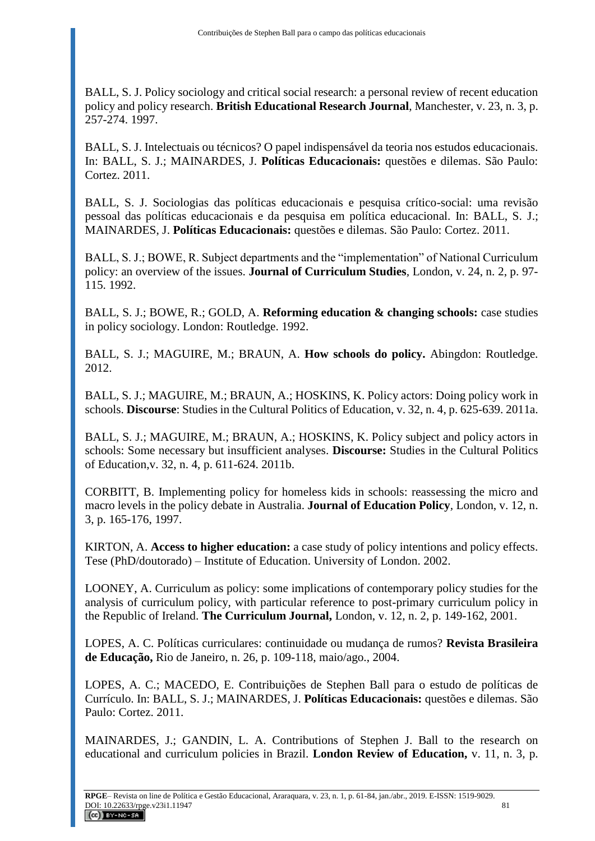BALL, S. J. Policy sociology and critical social research: a personal review of recent education policy and policy research. **British Educational Research Journal**, Manchester, v. 23, n. 3, p. 257-274. 1997.

BALL, S. J. Intelectuais ou técnicos? O papel indispensável da teoria nos estudos educacionais. In: BALL, S. J.; MAINARDES, J. **Políticas Educacionais:** questões e dilemas. São Paulo: Cortez. 2011.

BALL, S. J. Sociologias das políticas educacionais e pesquisa crítico-social: uma revisão pessoal das políticas educacionais e da pesquisa em política educacional. In: BALL, S. J.; MAINARDES, J. **Políticas Educacionais:** questões e dilemas. São Paulo: Cortez. 2011.

BALL, S. J.; BOWE, R. Subject departments and the "implementation" of National Curriculum policy: an overview of the issues. **Journal of Curriculum Studies***,* London, v. 24, n. 2, p. 97- 115. 1992.

BALL, S. J.; BOWE, R.; GOLD, A. **Reforming education & changing schools:** case studies in policy sociology. London: Routledge. 1992.

BALL, S. J.; MAGUIRE, M.; BRAUN, A. **How schools do policy.** Abingdon: Routledge. 2012.

BALL, S. J.; MAGUIRE, M.; BRAUN, A.; HOSKINS, K. Policy actors: Doing policy work in schools. **Discourse**: Studies in the Cultural Politics of Education, v. 32, n. 4, p. 625-639. 2011a.

BALL, S. J.; MAGUIRE, M.; BRAUN, A.; HOSKINS, K. Policy subject and policy actors in schools: Some necessary but insufficient analyses. **Discourse:** Studies in the Cultural Politics of Education,v. 32, n. 4, p. 611-624. 2011b.

CORBITT, B. Implementing policy for homeless kids in schools: reassessing the micro and macro levels in the policy debate in Australia. **Journal of Education Policy***,* London, v. 12, n. 3, p. 165-176, 1997.

KIRTON, A. **Access to higher education:** a case study of policy intentions and policy effects. Tese (PhD/doutorado) – Institute of Education. University of London. 2002.

LOONEY, A. Curriculum as policy: some implications of contemporary policy studies for the analysis of curriculum policy, with particular reference to post-primary curriculum policy in the Republic of Ireland. **The Curriculum Journal,** London, v. 12, n. 2, p. 149-162, 2001.

LOPES, A. C. Políticas curriculares: continuidade ou mudança de rumos? **Revista Brasileira de Educação,** Rio de Janeiro, n. 26, p. 109-118, maio/ago., 2004.

LOPES, A. C.; MACEDO, E. Contribuições de Stephen Ball para o estudo de políticas de Currículo. In: BALL, S. J.; MAINARDES, J. **Políticas Educacionais:** questões e dilemas. São Paulo: Cortez. 2011.

MAINARDES, J.; GANDIN, L. A. Contributions of Stephen J. Ball to the research on educational and curriculum policies in Brazil. **London Review of Education,** v. 11, n. 3, p.